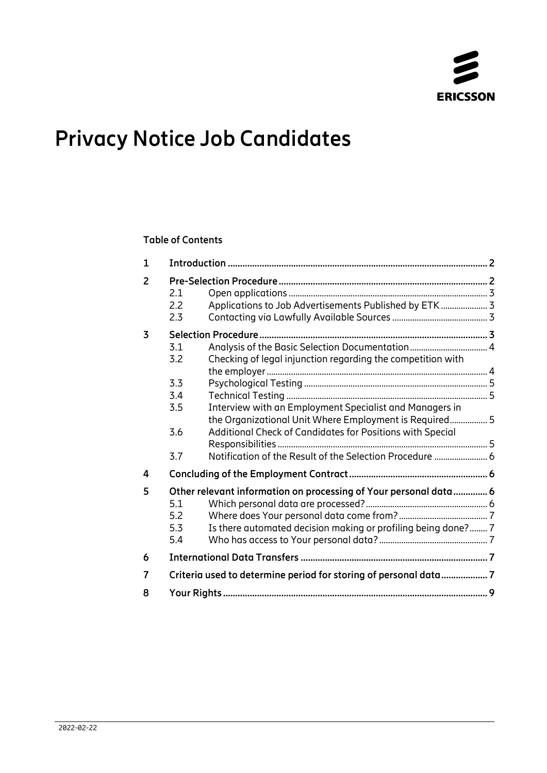

# **Privacy Notice Job Candidates**

## **Table of Contents**

| $\mathbf{1}$   |                                                                           |                                                                                                                                    |  |
|----------------|---------------------------------------------------------------------------|------------------------------------------------------------------------------------------------------------------------------------|--|
| $\overline{2}$ | 2.1<br>2.2<br>2.3                                                         | Applications to Job Advertisements Published by ETK 3                                                                              |  |
| 3              | 3.1<br>3.2<br>Checking of legal injunction regarding the competition with |                                                                                                                                    |  |
|                | 3.3<br>3.4<br>3.5                                                         | Interview with an Employment Specialist and Managers in<br>the Organizational Unit Where Employment is Required 5                  |  |
|                | 3.6<br>3.7                                                                | Additional Check of Candidates for Positions with Special<br>Notification of the Result of the Selection Procedure  6              |  |
| 4              |                                                                           |                                                                                                                                    |  |
| 5              | 5.1<br>5.2<br>5.3<br>5.4                                                  | Other relevant information on processing of Your personal data  6<br>Is there automated decision making or profiling being done? 7 |  |
| 6              |                                                                           |                                                                                                                                    |  |
| $\overline{7}$ | Criteria used to determine period for storing of personal data 7          |                                                                                                                                    |  |
| 8              |                                                                           |                                                                                                                                    |  |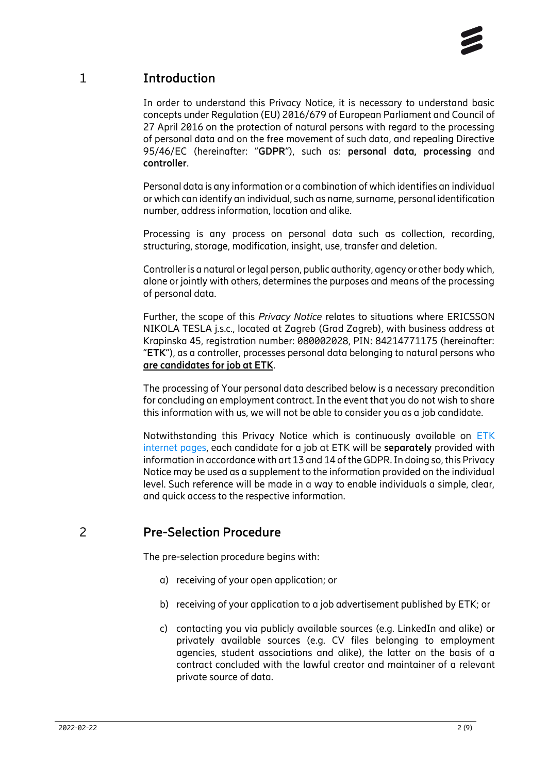# 1 **Introduction**

<span id="page-1-0"></span>In order to understand this Privacy Notice, it is necessary to understand basic concepts under Regulation (EU) 2016/679 of European Parliament and Council of 27 April 2016 on the protection of natural persons with regard to the processing of personal data and on the free movement of such data, and repealing Directive 95/46/EC (hereinafter: "**GDPR**"), such as: **personal data, processing** and **controller**.

Personal data is any information or a combination of which identifies an individual or which can identify an individual, such as name, surname, personal identification number, address information, location and alike.

Processing is any process on personal data such as collection, recording, structuring, storage, modification, insight, use, transfer and deletion.

Controller is a natural or legal person, public authority, agency or other body which, alone or jointly with others, determines the purposes and means of the processing of personal data.

Further, the scope of this *Privacy Notice* relates to situations where ERICSSON NIKOLA TESLA j.s.c., located at Zagreb (Grad Zagreb), with business address at Krapinska 45, registration number: 080002028, PIN: 84214771175 (hereinafter: "**ETK**"), as a controller, processes personal data belonging to natural persons who **are candidates for job at ETK**.

The processing of Your personal data described below is a necessary precondition for concluding an employment contract. In the event that you do not wish to share this information with us, we will not be able to consider you as a job candidate.

Notwithstanding this Privacy Notice which is continuously available on [ETK](https://www.ericsson.hr/en/privacy)  [internet pages,](https://www.ericsson.hr/en/privacy) each candidate for a job at ETK will be **separately** provided with information in accordance with art 13 and 14 of the GDPR. In doing so, this Privacy Notice may be used as a supplement to the information provided on the individual level. Such reference will be made in a way to enable individuals a simple, clear, and quick access to the respective information.

# 2 **Pre-Selection Procedure**

<span id="page-1-1"></span>The pre-selection procedure begins with:

- a) receiving of your open application; or
- b) receiving of your application to a job advertisement published by ETK; or
- c) contacting you via publicly available sources (e.g. LinkedIn and alike) or privately available sources (e.g. CV files belonging to employment agencies, student associations and alike), the latter on the basis of a contract concluded with the lawful creator and maintainer of a relevant private source of data.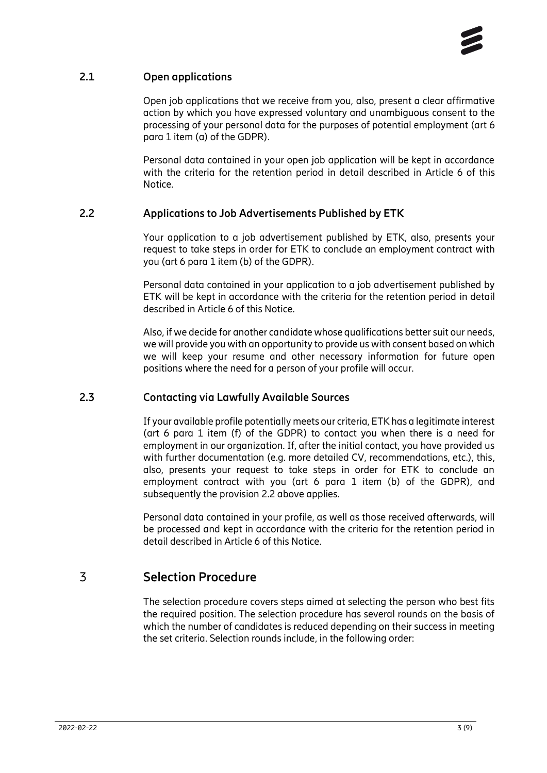## **2.1 Open applications**

<span id="page-2-0"></span>Open job applications that we receive from you, also, present a clear affirmative action by which you have expressed voluntary and unambiguous consent to the processing of your personal data for the purposes of potential employment (art 6 para 1 item (a) of the GDPR).

Personal data contained in your open job application will be kept in accordance with the criteria for the retention period in detail described in Article 6 of this Notice.

## **2.2 Applications to Job Advertisements Published by ETK**

<span id="page-2-1"></span>Your application to a job advertisement published by ETK, also, presents your request to take steps in order for ETK to conclude an employment contract with you (art 6 para 1 item (b) of the GDPR).

Personal data contained in your application to a job advertisement published by ETK will be kept in accordance with the criteria for the retention period in detail described in Article 6 of this Notice.

Also, if we decide for another candidate whose qualifications better suit our needs, we will provide you with an opportunity to provide us with consent based on which we will keep your resume and other necessary information for future open positions where the need for a person of your profile will occur.

## **2.3 Contacting via Lawfully Available Sources**

<span id="page-2-2"></span>If your available profile potentially meets our criteria, ETK has a legitimate interest (art 6 para 1 item (f) of the GDPR) to contact you when there is a need for employment in our organization. If, after the initial contact, you have provided us with further documentation (e.g. more detailed CV, recommendations, etc.), this, also, presents your request to take steps in order for ETK to conclude an employment contract with you (art 6 para 1 item (b) of the GDPR), and subsequently the provision 2.2 above applies.

Personal data contained in your profile, as well as those received afterwards, will be processed and kept in accordance with the criteria for the retention period in detail described in Article 6 of this Notice.

# 3 **Selection Procedure**

<span id="page-2-3"></span>The selection procedure covers steps aimed at selecting the person who best fits the required position. The selection procedure has several rounds on the basis of which the number of candidates is reduced depending on their success in meeting the set criteria. Selection rounds include, in the following order: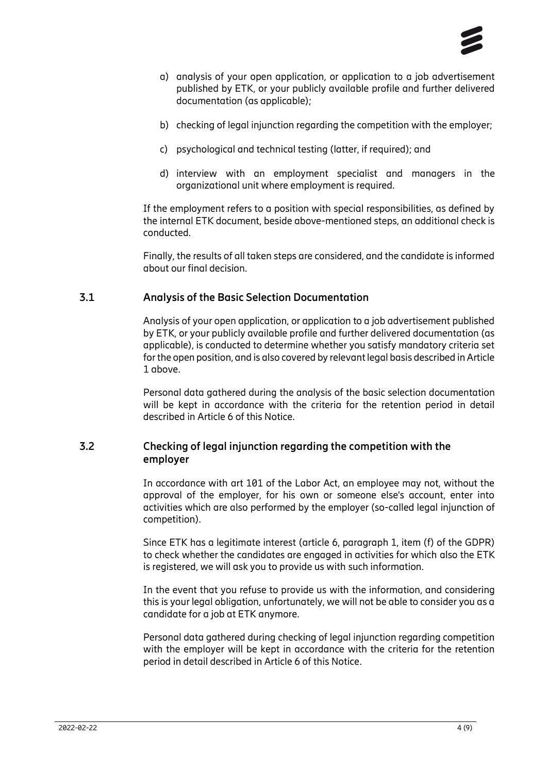

- a) analysis of your open application, or application to a job advertisement published by ETK, or your publicly available profile and further delivered documentation (as applicable);
- b) checking of legal injunction regarding the competition with the employer;
- c) psychological and technical testing (latter, if required); and
- d) interview with an employment specialist and managers in the organizational unit where employment is required.

If the employment refers to a position with special responsibilities, as defined by the internal ETK document, beside above-mentioned steps, an additional check is conducted.

Finally, the results of all taken steps are considered, and the candidate is informed about our final decision.

#### **3.1 Analysis of the Basic Selection Documentation**

<span id="page-3-0"></span>Analysis of your open application, or application to a job advertisement published by ETK, or your publicly available profile and further delivered documentation (as applicable), is conducted to determine whether you satisfy mandatory criteria set for the open position, and is also covered by relevant legal basis described in Article 1 above.

Personal data gathered during the analysis of the basic selection documentation will be kept in accordance with the criteria for the retention period in detail described in Article 6 of this Notice.

## **3.2 Checking of legal injunction regarding the competition with the employer**

<span id="page-3-1"></span>In accordance with art 101 of the Labor Act, an employee may not, without the approval of the employer, for his own or someone else's account, enter into activities which are also performed by the employer (so-called legal injunction of competition).

Since ETK has a legitimate interest (article 6, paragraph 1, item (f) of the GDPR) to check whether the candidates are engaged in activities for which also the ETK is registered, we will ask you to provide us with such information.

In the event that you refuse to provide us with the information, and considering this is your legal obligation, unfortunately, we will not be able to consider you as a candidate for a job at ETK anymore.

Personal data gathered during checking of legal injunction regarding competition with the employer will be kept in accordance with the criteria for the retention period in detail described in Article 6 of this Notice.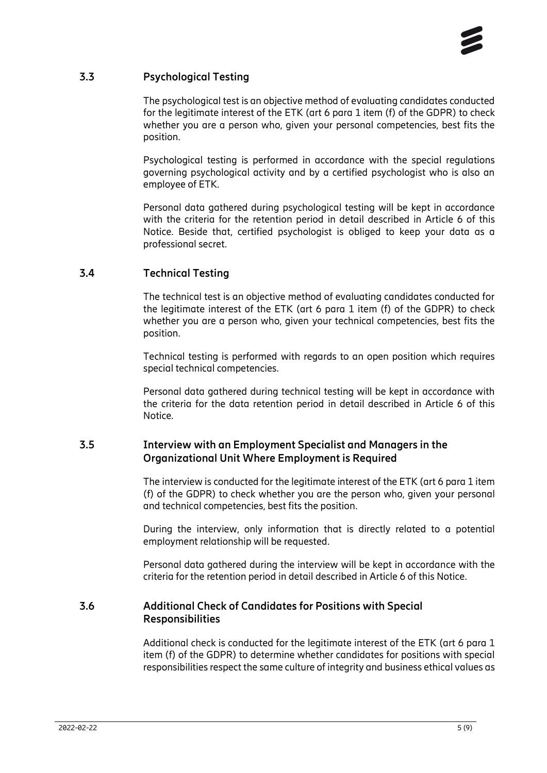

## **3.3 Psychological Testing**

<span id="page-4-0"></span>The psychological test is an objective method of evaluating candidates conducted for the legitimate interest of the ETK (art 6 para 1 item (f) of the GDPR) to check whether you are a person who, given your personal competencies, best fits the position.

Psychological testing is performed in accordance with the special regulations governing psychological activity and by a certified psychologist who is also an employee of ETK.

Personal data gathered during psychological testing will be kept in accordance with the criteria for the retention period in detail described in Article 6 of this Notice. Beside that, certified psychologist is obliged to keep your data as a professional secret.

#### **3.4 Technical Testing**

<span id="page-4-1"></span>The technical test is an objective method of evaluating candidates conducted for the legitimate interest of the ETK (art 6 para 1 item (f) of the GDPR) to check whether you are a person who, given your technical competencies, best fits the position.

Technical testing is performed with regards to an open position which requires special technical competencies.

Personal data gathered during technical testing will be kept in accordance with the criteria for the data retention period in detail described in Article 6 of this Notice.

## **3.5 Interview with an Employment Specialist and Managers in the Organizational Unit Where Employment is Required**

<span id="page-4-2"></span>The interview is conducted for the legitimate interest of the ETK (art 6 para 1 item (f) of the GDPR) to check whether you are the person who, given your personal and technical competencies, best fits the position.

During the interview, only information that is directly related to a potential employment relationship will be requested.

<span id="page-4-3"></span>Personal data gathered during the interview will be kept in accordance with the criteria for the retention period in detail described in Article 6 of this Notice.

#### **3.6 Additional Check of Candidates for Positions with Special Responsibilities**

Additional check is conducted for the legitimate interest of the ETK (art 6 para 1 item (f) of the GDPR) to determine whether candidates for positions with special responsibilities respect the same culture of integrity and business ethical values as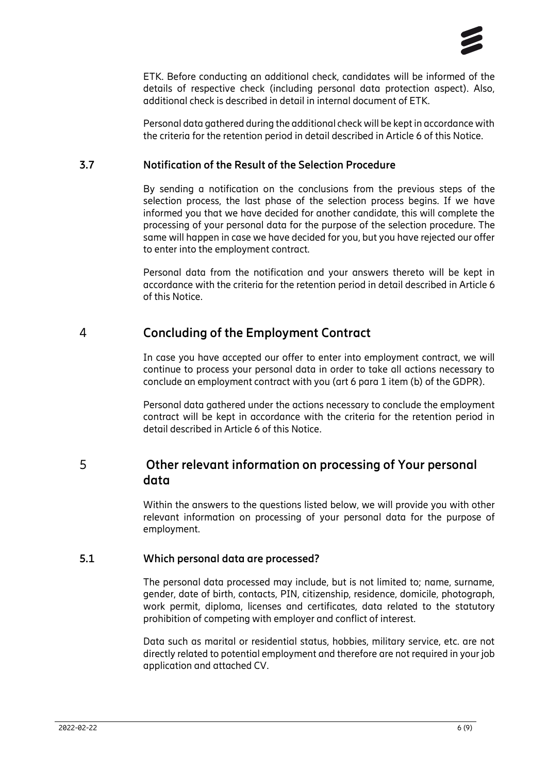

ETK. Before conducting an additional check, candidates will be informed of the details of respective check (including personal data protection aspect). Also, additional check is described in detail in internal document of ETK.

Personal data gathered during the additional check will be kept in accordance with the criteria for the retention period in detail described in Article 6 of this Notice.

### **3.7 Notification of the Result of the Selection Procedure**

<span id="page-5-0"></span>By sending a notification on the conclusions from the previous steps of the selection process, the last phase of the selection process begins. If we have informed you that we have decided for another candidate, this will complete the processing of your personal data for the purpose of the selection procedure. The same will happen in case we have decided for you, but you have rejected our offer to enter into the employment contract.

Personal data from the notification and your answers thereto will be kept in accordance with the criteria for the retention period in detail described in Article 6 of this Notice.

# 4 **Concluding of the Employment Contract**

<span id="page-5-1"></span>In case you have accepted our offer to enter into employment contract, we will continue to process your personal data in order to take all actions necessary to conclude an employment contract with you (art 6 para 1 item (b) of the GDPR).

<span id="page-5-2"></span>Personal data gathered under the actions necessary to conclude the employment contract will be kept in accordance with the criteria for the retention period in detail described in Article 6 of this Notice.

# 5 **Other relevant information on processing of Your personal data**

Within the answers to the questions listed below, we will provide you with other relevant information on processing of your personal data for the purpose of employment.

## **5.1 Which personal data are processed?**

<span id="page-5-3"></span>The personal data processed may include, but is not limited to; name, surname, gender, date of birth, contacts, PIN, citizenship, residence, domicile, photograph, work permit, diploma, licenses and certificates, data related to the statutory prohibition of competing with employer and conflict of interest.

Data such as marital or residential status, hobbies, military service, etc. are not directly related to potential employment and therefore are not required in your job application and attached CV.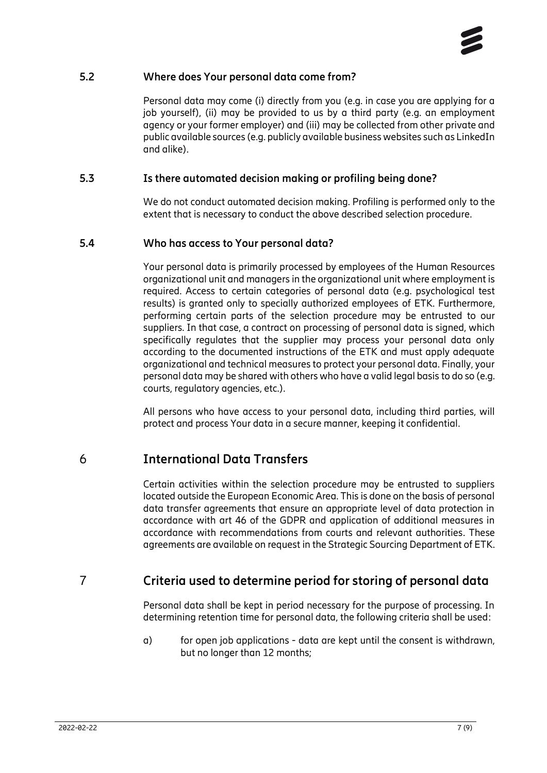### **5.2 Where does Your personal data come from?**

<span id="page-6-0"></span>Personal data may come (i) directly from you (e.g. in case you are applying for a job yourself), (ii) may be provided to us by a third party (e.g. an employment agency or your former employer) and (iii) may be collected from other private and public available sources (e.g. publicly available business websites such as LinkedIn and alike).

### **5.3 Is there automated decision making or profiling being done?**

<span id="page-6-1"></span>We do not conduct automated decision making. Profiling is performed only to the extent that is necessary to conduct the above described selection procedure.

## **5.4 Who has access to Your personal data?**

<span id="page-6-2"></span>Your personal data is primarily processed by employees of the Human Resources organizational unit and managers in the organizational unit where employment is required. Access to certain categories of personal data (e.g. psychological test results) is granted only to specially authorized employees of ETK. Furthermore, performing certain parts of the selection procedure may be entrusted to our suppliers. In that case, a contract on processing of personal data is signed, which specifically regulates that the supplier may process your personal data only according to the documented instructions of the ETK and must apply adequate organizational and technical measures to protect your personal data. Finally, your personal data may be shared with others who have a valid legal basis to do so (e.g. courts, regulatory agencies, etc.).

<span id="page-6-3"></span>All persons who have access to your personal data, including third parties, will protect and process Your data in a secure manner, keeping it confidential.

# 6 **International Data Transfers**

Certain activities within the selection procedure may be entrusted to suppliers located outside the European Economic Area. This is done on the basis of personal data transfer agreements that ensure an appropriate level of data protection in accordance with art 46 of the GDPR and application of additional measures in accordance with recommendations from courts and relevant authorities. These agreements are available on request in the Strategic Sourcing Department of ETK.

# 7 **Criteria used to determine period for storing of personal data**

<span id="page-6-4"></span>Personal data shall be kept in period necessary for the purpose of processing. In determining retention time for personal data, the following criteria shall be used:

a) for open job applications - data are kept until the consent is withdrawn, but no longer than 12 months;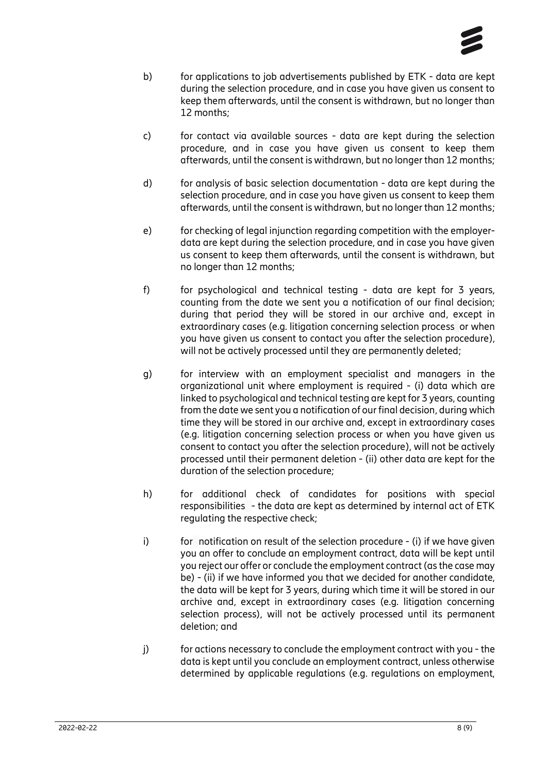

- b) for applications to job advertisements published by ETK data are kept during the selection procedure, and in case you have given us consent to keep them afterwards, until the consent is withdrawn, but no longer than 12 months;
- c) for contact via available sources data are kept during the selection procedure, and in case you have given us consent to keep them afterwards, until the consent is withdrawn, but no longer than 12 months;
- d) for analysis of basic selection documentation data are kept during the selection procedure, and in case you have given us consent to keep them afterwards, until the consent is withdrawn, but no longer than 12 months;
- e) for checking of legal injunction regarding competition with the employerdata are kept during the selection procedure, and in case you have given us consent to keep them afterwards, until the consent is withdrawn, but no longer than 12 months;
- f) for psychological and technical testing data are kept for 3 years, counting from the date we sent you a notification of our final decision; during that period they will be stored in our archive and, except in extraordinary cases (e.g. litigation concerning selection process or when you have given us consent to contact you after the selection procedure), will not be actively processed until they are permanently deleted;
- g) for interview with an employment specialist and managers in the organizational unit where employment is required - (i) data which are linked to psychological and technical testing are kept for 3 years, counting from the date we sent you a notification of our final decision, during which time they will be stored in our archive and, except in extraordinary cases (e.g. litigation concerning selection process or when you have given us consent to contact you after the selection procedure), will not be actively processed until their permanent deletion - (ii) other data are kept for the duration of the selection procedure;
- h) for additional check of candidates for positions with special responsibilities - the data are kept as determined by internal act of ETK regulating the respective check;
- i) for notification on result of the selection procedure (i) if we have given you an offer to conclude an employment contract, data will be kept until you reject our offer or conclude the employment contract (as the case may be) - (ii) if we have informed you that we decided for another candidate, the data will be kept for 3 years, during which time it will be stored in our archive and, except in extraordinary cases (e.g. litigation concerning selection process), will not be actively processed until its permanent deletion; and
- j) for actions necessary to conclude the employment contract with you the data is kept until you conclude an employment contract, unless otherwise determined by applicable regulations (e.g. regulations on employment,